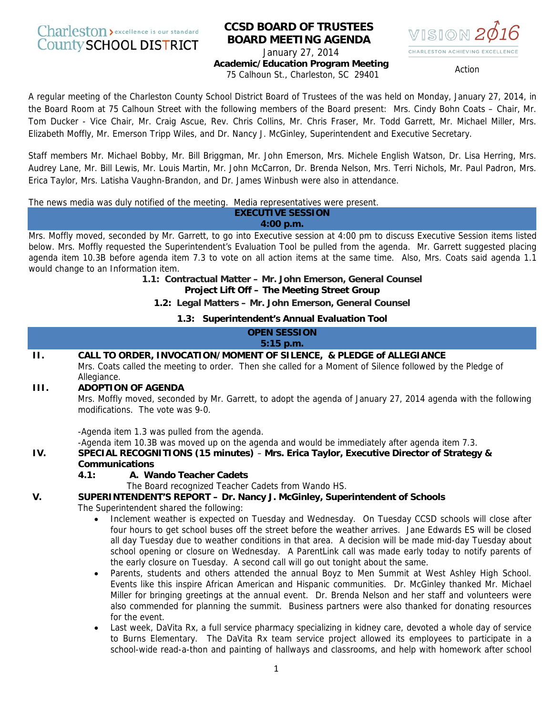# Charleston > excellence is our standard **County SCHOOL DISTRICT**

# **CCSD BOARD OF TRUSTEES BOARD MEETING AGENDA**  January 27, 2014



**Academic/Education Program Meeting**  Action Constitution Constitution of the Calhoun St., Charleston, SC 29401

A regular meeting of the Charleston County School District Board of Trustees of the was held on Monday, January 27, 2014, in the Board Room at 75 Calhoun Street with the following members of the Board present: Mrs. Cindy Bohn Coats – Chair, Mr. Tom Ducker - Vice Chair, Mr. Craig Ascue, Rev. Chris Collins, Mr. Chris Fraser, Mr. Todd Garrett, Mr. Michael Miller, Mrs. Elizabeth Moffly, Mr. Emerson Tripp Wiles, and Dr. Nancy J. McGinley, Superintendent and Executive Secretary.

Staff members Mr. Michael Bobby, Mr. Bill Briggman, Mr. John Emerson, Mrs. Michele English Watson, Dr. Lisa Herring, Mrs. Audrey Lane, Mr. Bill Lewis, Mr. Louis Martin, Mr. John McCarron, Dr. Brenda Nelson, Mrs. Terri Nichols, Mr. Paul Padron, Mrs. Erica Taylor, Mrs. Latisha Vaughn-Brandon, and Dr. James Winbush were also in attendance.

The news media was duly notified of the meeting. Media representatives were present.

#### **EXECUTIVE SESSION 4:00 p.m.**

Mrs. Moffly moved, seconded by Mr. Garrett, to go into Executive session at 4:00 pm to discuss Executive Session items listed below. Mrs. Moffly requested the Superintendent's Evaluation Tool be pulled from the agenda. Mr. Garrett suggested placing agenda item 10.3B before agenda item 7.3 to vote on all action items at the same time. Also, Mrs. Coats said agenda 1.1 would change to an Information item.

> **1.1: Contractual Matter – Mr. John Emerson, General Counsel Project Lift Off – The Meeting Street Group**

**1.2: Legal Matters – Mr. John Emerson, General Counsel**

**1.3: Superintendent's Annual Evaluation Tool**

|     | <b>OPEN SESSION</b><br>$5:15$ p.m.                                                                                                                |
|-----|---------------------------------------------------------------------------------------------------------------------------------------------------|
| Н.  | CALL TO ORDER, INVOCATION/MOMENT OF SILENCE, & PLEDGE of ALLEGIANCE                                                                               |
|     | Mrs. Coats called the meeting to order. Then she called for a Moment of Silence followed by the Pledge of<br>Allegiance.                          |
| HL. | <b>ADOPTION OF AGENDA</b>                                                                                                                         |
|     | Mrs. Moffly moved, seconded by Mr. Garrett, to adopt the agenda of January 27, 2014 agenda with the following<br>modifications. The vote was 9-0. |
|     | -Agenda item 1.3 was pulled from the agenda.                                                                                                      |
|     | -Agenda item 10.3B was moved up on the agenda and would be immediately after agenda item 7.3.                                                     |
| IV. | SPECIAL RECOGNITIONS (15 minutes) - Mrs. Erica Taylor, Executive Director of Strategy &                                                           |
|     | <b>Communications</b>                                                                                                                             |
|     | A. Wando Teacher Cadets<br>4.1:                                                                                                                   |
|     | The Board recognized Teacher Cadets from Wando HS.                                                                                                |
| V.  | SUPERINTENDENT'S REPORT - Dr. Nancy J. McGinley, Superintendent of Schools                                                                        |
|     | The Superintendent shared the following:                                                                                                          |
|     | Inclement weather is expected on Tuesday and Wednesday. On Tuesday CCSD schools will close after<br>$\bullet$                                     |
|     | four hours to get school buses off the street before the weather arrives. Jane Edwards ES will be closed                                          |
|     | all day Tuesday due to weather conditions in that area. A decision will be made mid-day Tuesday about                                             |

the early closure on Tuesday. A second call will go out tonight about the same. • Parents, students and others attended the annual Boyz to Men Summit at West Ashley High School. Events like this inspire African American and Hispanic communities. Dr. McGinley thanked Mr. Michael Miller for bringing greetings at the annual event. Dr. Brenda Nelson and her staff and volunteers were also commended for planning the summit. Business partners were also thanked for donating resources for the event.

school opening or closure on Wednesday. A ParentLink call was made early today to notify parents of

Last week, DaVita Rx, a full service pharmacy specializing in kidney care, devoted a whole day of service to Burns Elementary. The DaVita Rx team service project allowed its employees to participate in a school-wide read-a-thon and painting of hallways and classrooms, and help with homework after school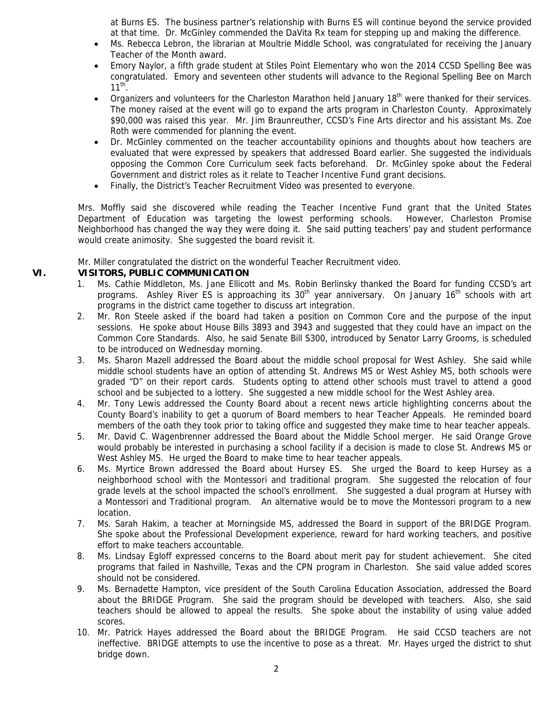at Burns ES. The business partner's relationship with Burns ES will continue beyond the service provided at that time. Dr. McGinley commended the DaVita Rx team for stepping up and making the difference.

- Ms. Rebecca Lebron, the librarian at Moultrie Middle School, was congratulated for receiving the January Teacher of the Month award.
- Emory Naylor, a fifth grade student at Stiles Point Elementary who won the 2014 CCSD Spelling Bee was congratulated. Emory and seventeen other students will advance to the Regional Spelling Bee on March  $11^{th}$ .
- Organizers and volunteers for the Charleston Marathon held January 18<sup>th</sup> were thanked for their services. The money raised at the event will go to expand the arts program in Charleston County. Approximately \$90,000 was raised this year. Mr. Jim Braunreuther, CCSD's Fine Arts director and his assistant Ms. Zoe Roth were commended for planning the event.
- Dr. McGinley commented on the teacher accountability opinions and thoughts about how teachers are evaluated that were expressed by speakers that addressed Board earlier. She suggested the individuals opposing the Common Core Curriculum seek facts beforehand. Dr. McGinley spoke about the Federal Government and district roles as it relate to Teacher Incentive Fund grant decisions.
- Finally, the District's Teacher Recruitment Video was presented to everyone.

Mrs. Moffly said she discovered while reading the Teacher Incentive Fund grant that the United States Department of Education was targeting the lowest performing schools. However, Charleston Promise Neighborhood has changed the way they were doing it. She said putting teachers' pay and student performance would create animosity. She suggested the board revisit it.

Mr. Miller congratulated the district on the wonderful Teacher Recruitment video.

# **VI. VISITORS, PUBLIC COMMUNICATION**

- 1. Ms. Cathie Middleton, Ms. Jane Ellicott and Ms. Robin Berlinsky thanked the Board for funding CCSD's art programs. Ashley River ES is approaching its  $30<sup>th</sup>$  year anniversary. On January 16<sup>th</sup> schools with art programs in the district came together to discuss art integration.
- 2. Mr. Ron Steele asked if the board had taken a position on Common Core and the purpose of the input sessions. He spoke about House Bills 3893 and 3943 and suggested that they could have an impact on the Common Core Standards. Also, he said Senate Bill S300, introduced by Senator Larry Grooms, is scheduled to be introduced on Wednesday morning.
- 3. Ms. Sharon Mazell addressed the Board about the middle school proposal for West Ashley. She said while middle school students have an option of attending St. Andrews MS or West Ashley MS, both schools were graded "D" on their report cards. Students opting to attend other schools must travel to attend a good school and be subjected to a lottery. She suggested a new middle school for the West Ashley area.
- 4. Mr. Tony Lewis addressed the County Board about a recent news article highlighting concerns about the County Board's inability to get a quorum of Board members to hear Teacher Appeals. He reminded board members of the oath they took prior to taking office and suggested they make time to hear teacher appeals.
- 5. Mr. David C. Wagenbrenner addressed the Board about the Middle School merger. He said Orange Grove would probably be interested in purchasing a school facility if a decision is made to close St. Andrews MS or West Ashley MS. He urged the Board to make time to hear teacher appeals.
- 6. Ms. Myrtice Brown addressed the Board about Hursey ES. She urged the Board to keep Hursey as a neighborhood school with the Montessori and traditional program. She suggested the relocation of four grade levels at the school impacted the school's enrollment. She suggested a dual program at Hursey with a Montessori and Traditional program. An alternative would be to move the Montessori program to a new location.
- 7. Ms. Sarah Hakim, a teacher at Morningside MS, addressed the Board in support of the BRIDGE Program. She spoke about the Professional Development experience, reward for hard working teachers, and positive effort to make teachers accountable.
- 8. Ms. Lindsay Egloff expressed concerns to the Board about merit pay for student achievement. She cited programs that failed in Nashville, Texas and the CPN program in Charleston. She said value added scores should not be considered.
- 9. Ms. Bernadette Hampton, vice president of the South Carolina Education Association, addressed the Board about the BRIDGE Program. She said the program should be developed with teachers. Also, she said teachers should be allowed to appeal the results. She spoke about the instability of using value added scores.
- 10. Mr. Patrick Hayes addressed the Board about the BRIDGE Program. He said CCSD teachers are not ineffective. BRIDGE attempts to use the incentive to pose as a threat. Mr. Hayes urged the district to shut bridge down.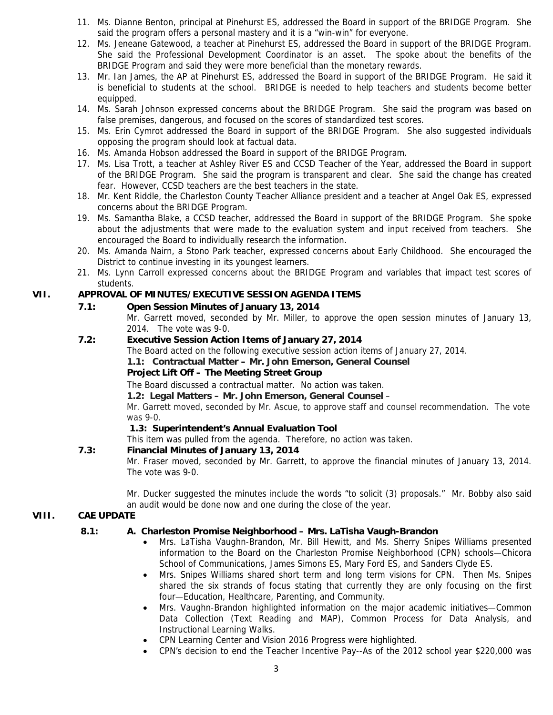- 11. Ms. Dianne Benton, principal at Pinehurst ES, addressed the Board in support of the BRIDGE Program. She said the program offers a personal mastery and it is a "win-win" for everyone.
- 12. Ms. Jeneane Gatewood, a teacher at Pinehurst ES, addressed the Board in support of the BRIDGE Program. She said the Professional Development Coordinator is an asset. The spoke about the benefits of the BRIDGE Program and said they were more beneficial than the monetary rewards.
- 13. Mr. Ian James, the AP at Pinehurst ES, addressed the Board in support of the BRIDGE Program. He said it is beneficial to students at the school. BRIDGE is needed to help teachers and students become better equipped.
- 14. Ms. Sarah Johnson expressed concerns about the BRIDGE Program. She said the program was based on false premises, dangerous, and focused on the scores of standardized test scores.
- 15. Ms. Erin Cymrot addressed the Board in support of the BRIDGE Program. She also suggested individuals opposing the program should look at factual data.
- 16. Ms. Amanda Hobson addressed the Board in support of the BRIDGE Program.
- 17. Ms. Lisa Trott, a teacher at Ashley River ES and CCSD Teacher of the Year, addressed the Board in support of the BRIDGE Program. She said the program is transparent and clear. She said the change has created fear. However, CCSD teachers are the best teachers in the state.
- 18. Mr. Kent Riddle, the Charleston County Teacher Alliance president and a teacher at Angel Oak ES, expressed concerns about the BRIDGE Program.
- 19. Ms. Samantha Blake, a CCSD teacher, addressed the Board in support of the BRIDGE Program. She spoke about the adjustments that were made to the evaluation system and input received from teachers. She encouraged the Board to individually research the information.
- 20. Ms. Amanda Nairn, a Stono Park teacher, expressed concerns about Early Childhood. She encouraged the District to continue investing in its youngest learners.
- 21. Ms. Lynn Carroll expressed concerns about the BRIDGE Program and variables that impact test scores of students.

# **VII. APPROVAL OF MINUTES/EXECUTIVE SESSION AGENDA ITEMS**

- **7.1: Open Session Minutes of January 13, 2014**  Mr. Garrett moved, seconded by Mr. Miller, to approve the open session minutes of January 13,
	- 2014. The vote was 9-0.

# **7.2: Executive Session Action Items of January 27, 2014**

The Board acted on the following executive session action items of January 27, 2014.

**1.1: Contractual Matter – Mr. John Emerson, General Counsel** 

# **Project Lift Off – The Meeting Street Group**

The Board discussed a contractual matter. No action was taken.

**1.2: Legal Matters – Mr. John Emerson, General Counsel** –

Mr. Garrett moved, seconded by Mr. Ascue, to approve staff and counsel recommendation. The vote was 9-0.

# **1.3: Superintendent's Annual Evaluation Tool**

This item was pulled from the agenda. Therefore, no action was taken.

# **7.3: Financial Minutes of January 13, 2014**

Mr. Fraser moved, seconded by Mr. Garrett, to approve the financial minutes of January 13, 2014. The vote was 9-0.

Mr. Ducker suggested the minutes include the words "to solicit (3) proposals." Mr. Bobby also said an audit would be done now and one during the close of the year.

# **VIII. CAE UPDATE**

# **8.1: A. Charleston Promise Neighborhood – Mrs. LaTisha Vaugh-Brandon**

- Mrs. LaTisha Vaughn-Brandon, Mr. Bill Hewitt, and Ms. Sherry Snipes Williams presented information to the Board on the Charleston Promise Neighborhood (CPN) schools—Chicora School of Communications, James Simons ES, Mary Ford ES, and Sanders Clyde ES.
- Mrs. Snipes Williams shared short term and long term visions for CPN. Then Ms. Snipes shared the six strands of focus stating that currently they are only focusing on the first four—Education, Healthcare, Parenting, and Community.
- Mrs. Vaughn-Brandon highlighted information on the major academic initiatives—Common Data Collection (Text Reading and MAP), Common Process for Data Analysis, and Instructional Learning Walks.
- CPN Learning Center and Vision 2016 Progress were highlighted.
- CPN's decision to end the Teacher Incentive Pay--As of the 2012 school year \$220,000 was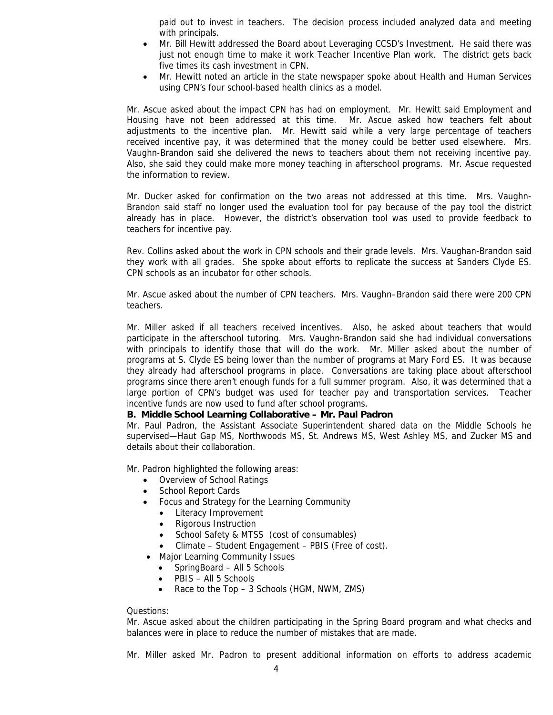paid out to invest in teachers. The decision process included analyzed data and meeting with principals.

- Mr. Bill Hewitt addressed the Board about Leveraging CCSD's Investment. He said there was just not enough time to make it work Teacher Incentive Plan work. The district gets back five times its cash investment in CPN.
- Mr. Hewitt noted an article in the state newspaper spoke about Health and Human Services using CPN's four school-based health clinics as a model.

Mr. Ascue asked about the impact CPN has had on employment. Mr. Hewitt said Employment and Housing have not been addressed at this time. Mr. Ascue asked how teachers felt about adjustments to the incentive plan. Mr. Hewitt said while a very large percentage of teachers received incentive pay, it was determined that the money could be better used elsewhere. Mrs. Vaughn-Brandon said she delivered the news to teachers about them not receiving incentive pay. Also, she said they could make more money teaching in afterschool programs. Mr. Ascue requested the information to review.

Mr. Ducker asked for confirmation on the two areas not addressed at this time. Mrs. Vaughn-Brandon said staff no longer used the evaluation tool for pay because of the pay tool the district already has in place. However, the district's observation tool was used to provide feedback to teachers for incentive pay.

Rev. Collins asked about the work in CPN schools and their grade levels. Mrs. Vaughan-Brandon said they work with all grades. She spoke about efforts to replicate the success at Sanders Clyde ES. CPN schools as an incubator for other schools.

Mr. Ascue asked about the number of CPN teachers. Mrs. Vaughn–Brandon said there were 200 CPN teachers.

Mr. Miller asked if all teachers received incentives. Also, he asked about teachers that would participate in the afterschool tutoring. Mrs. Vaughn-Brandon said she had individual conversations with principals to identify those that will do the work. Mr. Miller asked about the number of programs at S. Clyde ES being lower than the number of programs at Mary Ford ES. It was because they already had afterschool programs in place. Conversations are taking place about afterschool programs since there aren't enough funds for a full summer program. Also, it was determined that a large portion of CPN's budget was used for teacher pay and transportation services. Teacher incentive funds are now used to fund after school programs.

### **B. Middle School Learning Collaborative – Mr. Paul Padron**

Mr. Paul Padron, the Assistant Associate Superintendent shared data on the Middle Schools he supervised—Haut Gap MS, Northwoods MS, St. Andrews MS, West Ashley MS, and Zucker MS and details about their collaboration.

Mr. Padron highlighted the following areas:

- Overview of School Ratings
- School Report Cards
- Focus and Strategy for the Learning Community
	- Literacy Improvement
	- Rigorous Instruction
	- School Safety & MTSS (cost of consumables)
	- Climate Student Engagement PBIS (Free of cost).
- Major Learning Community Issues
	- SpringBoard All 5 Schools
	- PBIS All 5 Schools
	- Race to the Top 3 Schools (HGM, NWM, ZMS)

#### Questions:

Mr. Ascue asked about the children participating in the Spring Board program and what checks and balances were in place to reduce the number of mistakes that are made.

Mr. Miller asked Mr. Padron to present additional information on efforts to address academic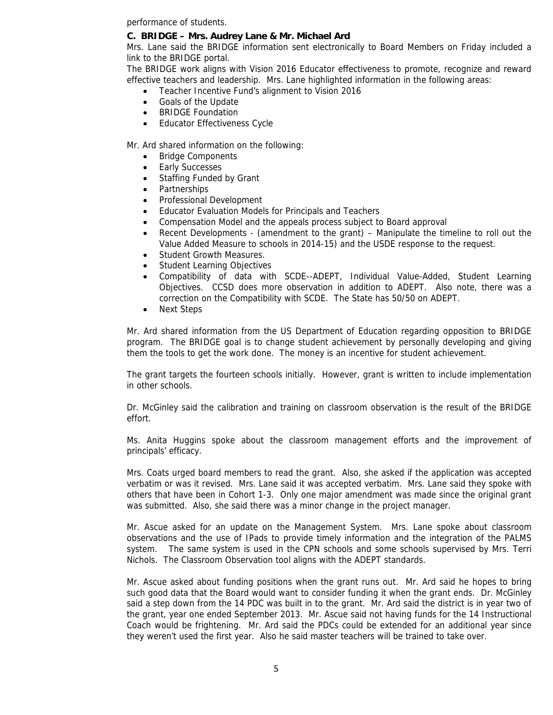performance of students.

### **C. BRIDGE – Mrs. Audrey Lane & Mr. Michael Ard**

Mrs. Lane said the BRIDGE information sent electronically to Board Members on Friday included a link to the BRIDGE portal.

The BRIDGE work aligns with Vision 2016 Educator effectiveness to promote, recognize and reward effective teachers and leadership. Mrs. Lane highlighted information in the following areas:

- Teacher Incentive Fund's alignment to Vision 2016
- Goals of the Update
- BRIDGE Foundation
- Educator Effectiveness Cycle

Mr. Ard shared information on the following:

- Bridge Components
- Early Successes
- Staffing Funded by Grant
- Partnerships
- Professional Development
- Educator Evaluation Models for Principals and Teachers
- Compensation Model and the appeals process subject to Board approval
- Recent Developments (amendment to the grant) Manipulate the timeline to roll out the Value Added Measure to schools in 2014-15) and the USDE response to the request.
- Student Growth Measures.
- Student Learning Objectives
- Compatibility of data with SCDE--ADEPT, Individual Value-Added, Student Learning Objectives. CCSD does more observation in addition to ADEPT. Also note, there was a correction on the Compatibility with SCDE. The State has 50/50 on ADEPT.
- Next Steps

Mr. Ard shared information from the US Department of Education regarding opposition to BRIDGE program. The BRIDGE goal is to change student achievement by personally developing and giving them the tools to get the work done. The money is an incentive for student achievement.

The grant targets the fourteen schools initially. However, grant is written to include implementation in other schools.

Dr. McGinley said the calibration and training on classroom observation is the result of the BRIDGE effort.

Ms. Anita Huggins spoke about the classroom management efforts and the improvement of principals' efficacy.

Mrs. Coats urged board members to read the grant. Also, she asked if the application was accepted verbatim or was it revised. Mrs. Lane said it was accepted verbatim. Mrs. Lane said they spoke with others that have been in Cohort 1-3. Only one major amendment was made since the original grant was submitted. Also, she said there was a minor change in the project manager.

Mr. Ascue asked for an update on the Management System. Mrs. Lane spoke about classroom observations and the use of IPads to provide timely information and the integration of the PALMS system. The same system is used in the CPN schools and some schools supervised by Mrs. Terri Nichols. The Classroom Observation tool aligns with the ADEPT standards.

Mr. Ascue asked about funding positions when the grant runs out. Mr. Ard said he hopes to bring such good data that the Board would want to consider funding it when the grant ends. Dr. McGinley said a step down from the 14 PDC was built in to the grant. Mr. Ard said the district is in year two of the grant, year one ended September 2013. Mr. Ascue said not having funds for the 14 Instructional Coach would be frightening. Mr. Ard said the PDCs could be extended for an additional year since they weren't used the first year. Also he said master teachers will be trained to take over.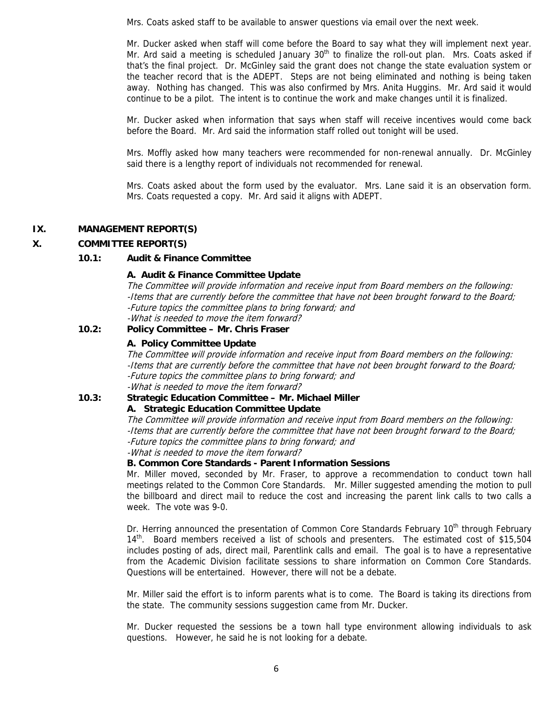Mrs. Coats asked staff to be available to answer questions via email over the next week.

Mr. Ducker asked when staff will come before the Board to say what they will implement next year. Mr. Ard said a meeting is scheduled January  $30<sup>th</sup>$  to finalize the roll-out plan. Mrs. Coats asked if that's the final project. Dr. McGinley said the grant does not change the state evaluation system or the teacher record that is the ADEPT. Steps are not being eliminated and nothing is being taken away. Nothing has changed. This was also confirmed by Mrs. Anita Huggins. Mr. Ard said it would continue to be a pilot. The intent is to continue the work and make changes until it is finalized.

Mr. Ducker asked when information that says when staff will receive incentives would come back before the Board. Mr. Ard said the information staff rolled out tonight will be used.

Mrs. Moffly asked how many teachers were recommended for non-renewal annually. Dr. McGinley said there is a lengthy report of individuals not recommended for renewal.

Mrs. Coats asked about the form used by the evaluator. Mrs. Lane said it is an observation form. Mrs. Coats requested a copy. Mr. Ard said it aligns with ADEPT.

### **IX. MANAGEMENT REPORT(S)**

# **X. COMMITTEE REPORT(S)**

### **10.1: Audit & Finance Committee**

### **A. Audit & Finance Committee Update**

The Committee will provide information and receive input from Board members on the following: -Items that are currently before the committee that have not been brought forward to the Board; -Future topics the committee plans to bring forward; and -What is needed to move the item forward?

### **10.2: Policy Committee – Mr. Chris Fraser**

### **A. Policy Committee Update**

The Committee will provide information and receive input from Board members on the following: -Items that are currently before the committee that have not been brought forward to the Board; -Future topics the committee plans to bring forward; and -What is needed to move the item forward?

### **10.3: Strategic Education Committee – Mr. Michael Miller**

**A. Strategic Education Committee Update**

The Committee will provide information and receive input from Board members on the following: -Items that are currently before the committee that have not been brought forward to the Board; -Future topics the committee plans to bring forward; and -What is needed to move the item forward?

 **B. Common Core Standards - Parent Information Sessions** 

Mr. Miller moved, seconded by Mr. Fraser, to approve a recommendation to conduct town hall meetings related to the Common Core Standards. Mr. Miller suggested amending the motion to pull the billboard and direct mail to reduce the cost and increasing the parent link calls to two calls a week. The vote was 9-0.

Dr. Herring announced the presentation of Common Core Standards February 10<sup>th</sup> through February 14<sup>th</sup>. Board members received a list of schools and presenters. The estimated cost of \$15,504 includes posting of ads, direct mail, Parentlink calls and email. The goal is to have a representative from the Academic Division facilitate sessions to share information on Common Core Standards. Questions will be entertained. However, there will not be a debate.

Mr. Miller said the effort is to inform parents what is to come. The Board is taking its directions from the state. The community sessions suggestion came from Mr. Ducker.

Mr. Ducker requested the sessions be a town hall type environment allowing individuals to ask questions. However, he said he is not looking for a debate.